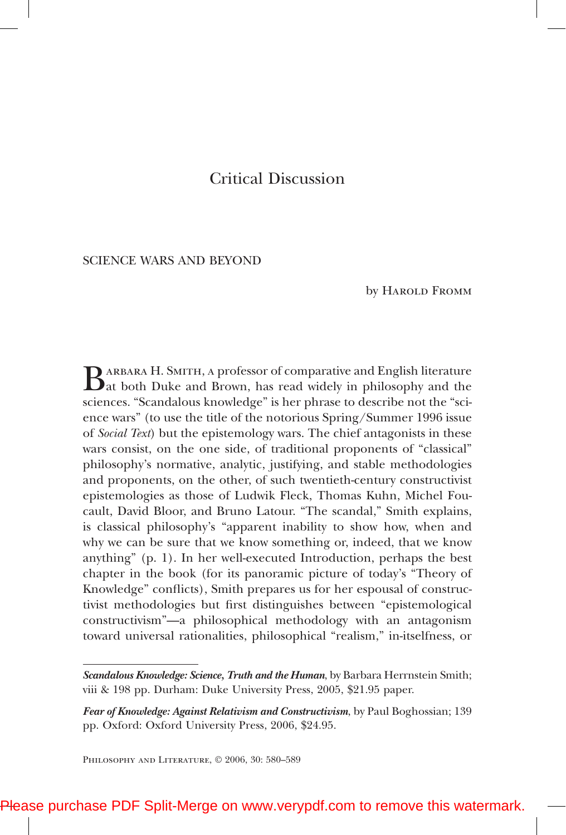## Critical Discussion

## Science Wars and Beyond

by Harold Fromm

BARBARA H. SMITH, A professor of comparative and English literature<br>Lat both Duke and Brown, has read widely in philosophy and the sciences. "Scandalous knowledge" is her phrase to describe not the "science wars" (to use the title of the notorious Spring/Summer 1996 issue of *Social Text*) but the epistemology wars. The chief antagonists in these wars consist, on the one side, of traditional proponents of "classical" philosophy's normative, analytic, justifying, and stable methodologies and proponents, on the other, of such twentieth-century constructivist epistemologies as those of Ludwik Fleck, Thomas Kuhn, Michel Foucault, David Bloor, and Bruno Latour. "The scandal," Smith explains, is classical philosophy's "apparent inability to show how, when and why we can be sure that we know something or, indeed, that we know anything" (p. 1). In her well-executed Introduction, perhaps the best chapter in the book (for its panoramic picture of today's "Theory of Knowledge" conflicts), Smith prepares us for her espousal of constructivist methodologies but first distinguishes between "epistemological constructivism"—a philosophical methodology with an antagonism toward universal rationalities, philosophical "realism," in-itselfness, or

*Scandalous Knowledge: Science, Truth and the Human*, by Barbara Herrnstein Smith; viii & 198 pp. Durham: Duke University Press, 2005, \$21.95 paper.

*Fear of Knowledge: Against Relativism and Constructivism*, by Paul Boghossian; 139 pp. Oxford: Oxford University Press, 2006, \$24.95.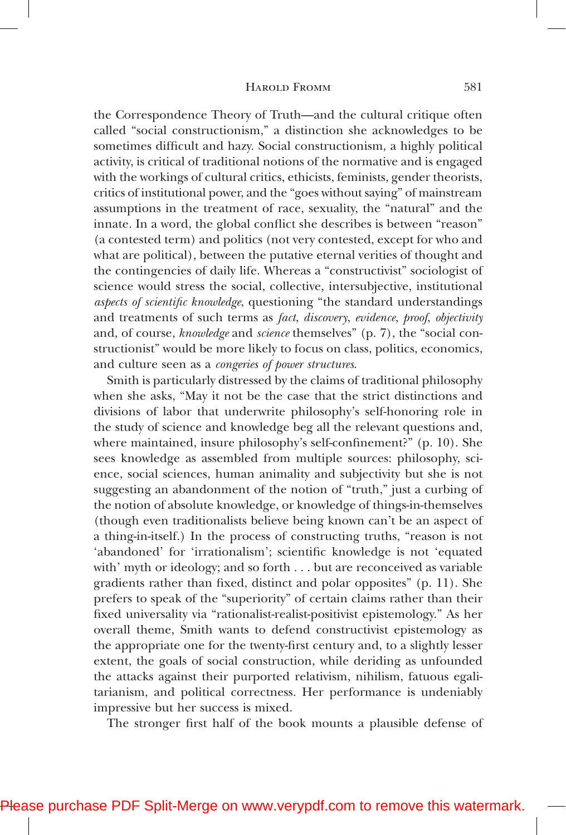the Correspondence Theory of Truth—and the cultural critique often called "social constructionism," a distinction she acknowledges to be sometimes difficult and hazy. Social constructionism, a highly political activity, is critical of traditional notions of the normative and is engaged with the workings of cultural critics, ethicists, feminists, gender theorists, critics of institutional power, and the "goes without saying" of mainstream assumptions in the treatment of race, sexuality, the "natural" and the innate. In a word, the global conflict she describes is between "reason" (a contested term) and politics (not very contested, except for who and what are political), between the putative eternal verities of thought and the contingencies of daily life. Whereas a "constructivist" sociologist of science would stress the social, collective, intersubjective, institutional *aspects of scientific knowledge*, questioning "the standard understandings and treatments of such terms as *fact*, *discovery*, *evidence*, *proof*, *objectivity* and, of course, *knowledge* and *science* themselves" (p. 7), the "social constructionist" would be more likely to focus on class, politics, economics, and culture seen as a *congeries of power structures*.

Smith is particularly distressed by the claims of traditional philosophy when she asks, "May it not be the case that the strict distinctions and divisions of labor that underwrite philosophy's self-honoring role in the study of science and knowledge beg all the relevant questions and, where maintained, insure philosophy's self-confinement?" (p. 10). She sees knowledge as assembled from multiple sources: philosophy, science, social sciences, human animality and subjectivity but she is not suggesting an abandonment of the notion of "truth," just a curbing of the notion of absolute knowledge, or knowledge of things-in-themselves (though even traditionalists believe being known can't be an aspect of a thing-in-itself.) In the process of constructing truths, "reason is not 'abandoned' for 'irrationalism'; scientific knowledge is not 'equated with' myth or ideology; and so forth . . . but are reconceived as variable gradients rather than fixed, distinct and polar opposites" (p. 11). She prefers to speak of the "superiority" of certain claims rather than their fixed universality via "rationalist-realist-positivist epistemology." As her overall theme, Smith wants to defend constructivist epistemology as the appropriate one for the twenty-first century and, to a slightly lesser extent, the goals of social construction, while deriding as unfounded the attacks against their purported relativism, nihilism, fatuous egalitarianism, and political correctness. Her performance is undeniably impressive but her success is mixed.

The stronger first half of the book mounts a plausible defense of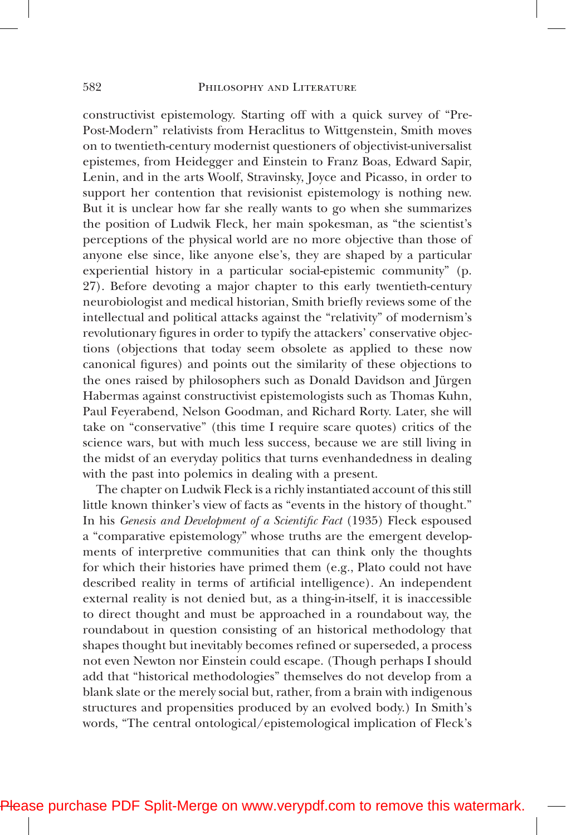constructivist epistemology. Starting off with a quick survey of "Pre-Post-Modern" relativists from Heraclitus to Wittgenstein, Smith moves on to twentieth-century modernist questioners of objectivist-universalist epistemes, from Heidegger and Einstein to Franz Boas, Edward Sapir, Lenin, and in the arts Woolf, Stravinsky, Joyce and Picasso, in order to support her contention that revisionist epistemology is nothing new. But it is unclear how far she really wants to go when she summarizes the position of Ludwik Fleck, her main spokesman, as "the scientist's perceptions of the physical world are no more objective than those of anyone else since, like anyone else's, they are shaped by a particular experiential history in a particular social-epistemic community" (p. 27). Before devoting a major chapter to this early twentieth-century neurobiologist and medical historian, Smith briefly reviews some of the intellectual and political attacks against the "relativity" of modernism's revolutionary figures in order to typify the attackers' conservative objections (objections that today seem obsolete as applied to these now canonical figures) and points out the similarity of these objections to the ones raised by philosophers such as Donald Davidson and Jürgen Habermas against constructivist epistemologists such as Thomas Kuhn, Paul Feyerabend, Nelson Goodman, and Richard Rorty. Later, she will take on "conservative" (this time I require scare quotes) critics of the science wars, but with much less success, because we are still living in the midst of an everyday politics that turns evenhandedness in dealing with the past into polemics in dealing with a present.

The chapter on Ludwik Fleck is a richly instantiated account of this still little known thinker's view of facts as "events in the history of thought." In his *Genesis and Development of a Scientific Fact* (1935) Fleck espoused a "comparative epistemology" whose truths are the emergent developments of interpretive communities that can think only the thoughts for which their histories have primed them (e.g., Plato could not have described reality in terms of artificial intelligence). An independent external reality is not denied but, as a thing-in-itself, it is inaccessible to direct thought and must be approached in a roundabout way, the roundabout in question consisting of an historical methodology that shapes thought but inevitably becomes refined or superseded, a process not even Newton nor Einstein could escape. (Though perhaps I should add that "historical methodologies" themselves do not develop from a blank slate or the merely social but, rather, from a brain with indigenous structures and propensities produced by an evolved body.) In Smith's words, "The central ontological/epistemological implication of Fleck's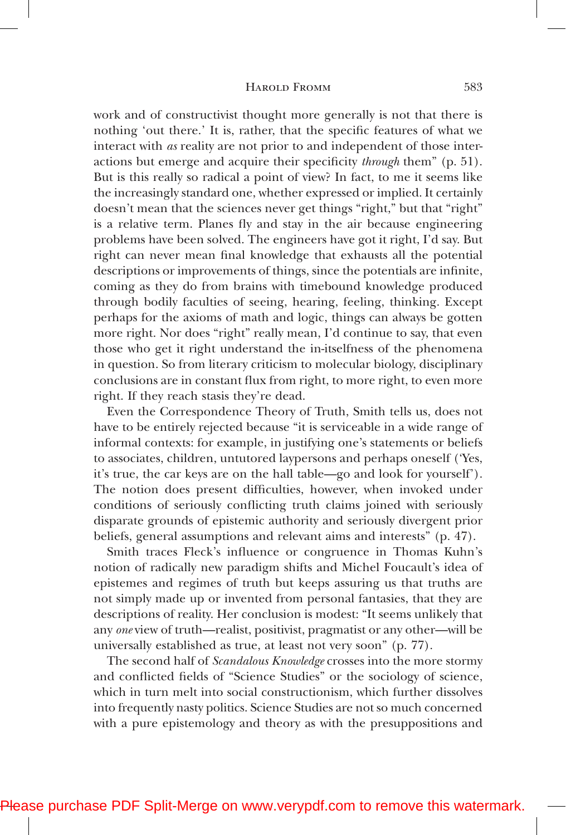work and of constructivist thought more generally is not that there is nothing 'out there.' It is, rather, that the specific features of what we interact with *as* reality are not prior to and independent of those interactions but emerge and acquire their specificity *through* them" (p. 51). But is this really so radical a point of view? In fact, to me it seems like the increasingly standard one, whether expressed or implied. It certainly doesn't mean that the sciences never get things "right," but that "right" is a relative term. Planes fly and stay in the air because engineering problems have been solved. The engineers have got it right, I'd say. But right can never mean final knowledge that exhausts all the potential descriptions or improvements of things, since the potentials are infinite, coming as they do from brains with timebound knowledge produced through bodily faculties of seeing, hearing, feeling, thinking. Except perhaps for the axioms of math and logic, things can always be gotten more right. Nor does "right" really mean, I'd continue to say, that even those who get it right understand the in-itselfness of the phenomena in question. So from literary criticism to molecular biology, disciplinary conclusions are in constant flux from right, to more right, to even more right. If they reach stasis they're dead.

Even the Correspondence Theory of Truth, Smith tells us, does not have to be entirely rejected because "it is serviceable in a wide range of informal contexts: for example, in justifying one's statements or beliefs to associates, children, untutored laypersons and perhaps oneself ('Yes, it's true, the car keys are on the hall table—go and look for yourself'). The notion does present difficulties, however, when invoked under conditions of seriously conflicting truth claims joined with seriously disparate grounds of epistemic authority and seriously divergent prior beliefs, general assumptions and relevant aims and interests" (p. 47).

Smith traces Fleck's influence or congruence in Thomas Kuhn's notion of radically new paradigm shifts and Michel Foucault's idea of epistemes and regimes of truth but keeps assuring us that truths are not simply made up or invented from personal fantasies, that they are descriptions of reality. Her conclusion is modest: "It seems unlikely that any *one* view of truth—realist, positivist, pragmatist or any other—will be universally established as true, at least not very soon" (p. 77).

The second half of *Scandalous Knowledge* crosses into the more stormy and conflicted fields of "Science Studies" or the sociology of science, which in turn melt into social constructionism, which further dissolves into frequently nasty politics. Science Studies are not so much concerned with a pure epistemology and theory as with the presuppositions and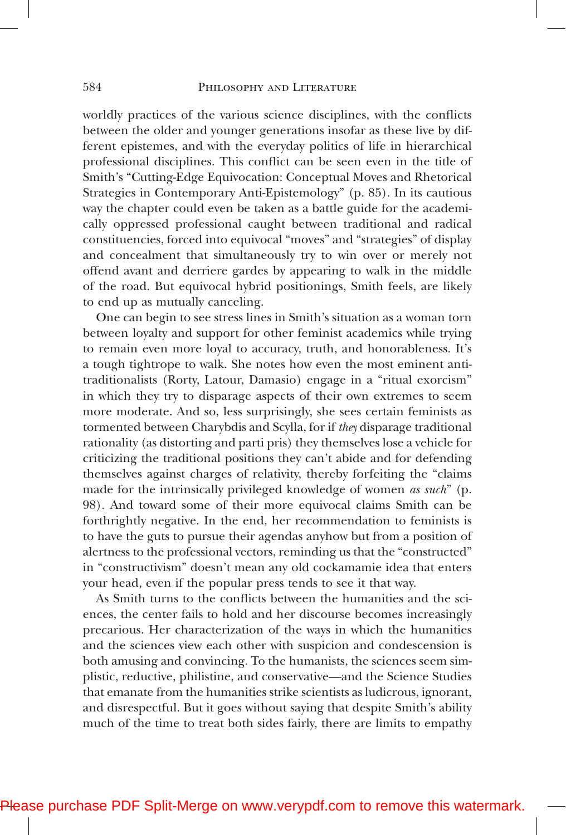worldly practices of the various science disciplines, with the conflicts between the older and younger generations insofar as these live by different epistemes, and with the everyday politics of life in hierarchical professional disciplines. This conflict can be seen even in the title of Smith's "Cutting-Edge Equivocation: Conceptual Moves and Rhetorical Strategies in Contemporary Anti-Epistemology" (p. 85). In its cautious way the chapter could even be taken as a battle guide for the academically oppressed professional caught between traditional and radical constituencies, forced into equivocal "moves" and "strategies" of display and concealment that simultaneously try to win over or merely not offend avant and derriere gardes by appearing to walk in the middle of the road. But equivocal hybrid positionings, Smith feels, are likely to end up as mutually canceling.

One can begin to see stress lines in Smith's situation as a woman torn between loyalty and support for other feminist academics while trying to remain even more loyal to accuracy, truth, and honorableness. It's a tough tightrope to walk. She notes how even the most eminent antitraditionalists (Rorty, Latour, Damasio) engage in a "ritual exorcism" in which they try to disparage aspects of their own extremes to seem more moderate. And so, less surprisingly, she sees certain feminists as tormented between Charybdis and Scylla, for if *they* disparage traditional rationality (as distorting and parti pris) they themselves lose a vehicle for criticizing the traditional positions they can't abide and for defending themselves against charges of relativity, thereby forfeiting the "claims made for the intrinsically privileged knowledge of women *as such*" (p. 98). And toward some of their more equivocal claims Smith can be forthrightly negative. In the end, her recommendation to feminists is to have the guts to pursue their agendas anyhow but from a position of alertness to the professional vectors, reminding us that the "constructed" in "constructivism" doesn't mean any old cockamamie idea that enters your head, even if the popular press tends to see it that way.

As Smith turns to the conflicts between the humanities and the sciences, the center fails to hold and her discourse becomes increasingly precarious. Her characterization of the ways in which the humanities and the sciences view each other with suspicion and condescension is both amusing and convincing. To the humanists, the sciences seem simplistic, reductive, philistine, and conservative—and the Science Studies that emanate from the humanities strike scientists as ludicrous, ignorant, and disrespectful. But it goes without saying that despite Smith's ability much of the time to treat both sides fairly, there are limits to empathy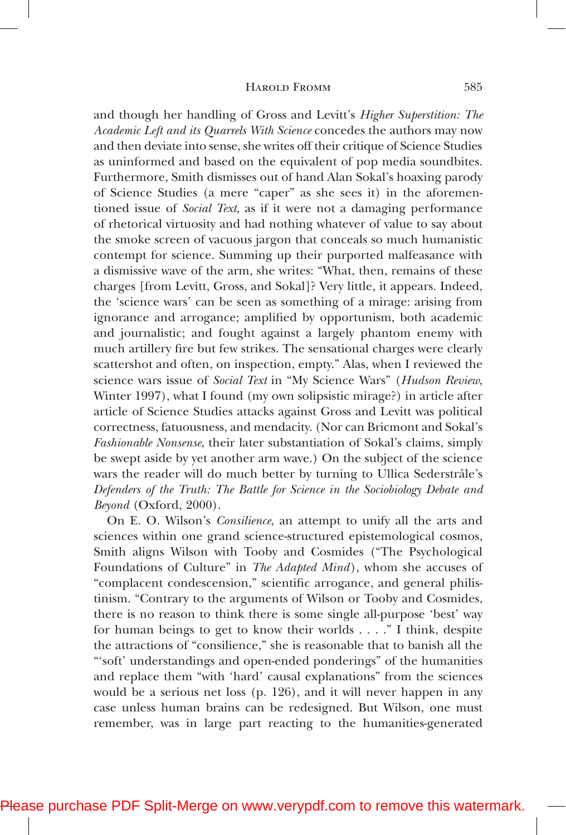and though her handling of Gross and Levitt's *Higher Superstition: The Academic Left and its Quarrels With Science* concedes the authors may now and then deviate into sense, she writes off their critique of Science Studies as uninformed and based on the equivalent of pop media soundbites. Furthermore, Smith dismisses out of hand Alan Sokal's hoaxing parody of Science Studies (a mere "caper" as she sees it) in the aforementioned issue of *Social Text*, as if it were not a damaging performance of rhetorical virtuosity and had nothing whatever of value to say about the smoke screen of vacuous jargon that conceals so much humanistic contempt for science. Summing up their purported malfeasance with a dismissive wave of the arm, she writes: "What, then, remains of these charges [from Levitt, Gross, and Sokal]? Very little, it appears. Indeed, the 'science wars' can be seen as something of a mirage: arising from ignorance and arrogance; amplified by opportunism, both academic and journalistic; and fought against a largely phantom enemy with much artillery fire but few strikes. The sensational charges were clearly scattershot and often, on inspection, empty." Alas, when I reviewed the science wars issue of *Social Text* in "My Science Wars" (*Hudson Review*, Winter 1997), what I found (my own solipsistic mirage?) in article after article of Science Studies attacks against Gross and Levitt was political correctness, fatuousness, and mendacity. (Nor can Bricmont and Sokal's *Fashionable Nonsense*, their later substantiation of Sokal's claims, simply be swept aside by yet another arm wave.) On the subject of the science wars the reader will do much better by turning to Ullica Sederstråle's *Defenders of the Truth: The Battle for Science in the Sociobiology Debate and Beyond* (Oxford, 2000).

On E. O. Wilson's *Consilience*, an attempt to unify all the arts and sciences within one grand science-structured epistemological cosmos, Smith aligns Wilson with Tooby and Cosmides ("The Psychological Foundations of Culture" in *The Adapted Mind*), whom she accuses of "complacent condescension," scientific arrogance, and general philistinism. "Contrary to the arguments of Wilson or Tooby and Cosmides, there is no reason to think there is some single all-purpose 'best' way for human beings to get to know their worlds . . . ." I think, despite the attractions of "consilience," she is reasonable that to banish all the "'soft' understandings and open-ended ponderings" of the humanities and replace them "with 'hard' causal explanations" from the sciences would be a serious net loss (p. 126), and it will never happen in any case unless human brains can be redesigned. But Wilson, one must remember, was in large part reacting to the humanities-generated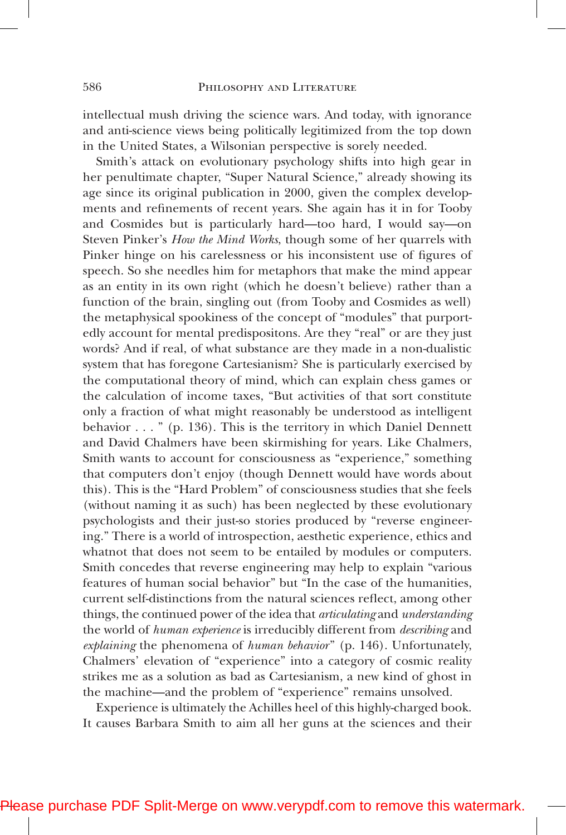intellectual mush driving the science wars. And today, with ignorance and anti-science views being politically legitimized from the top down in the United States, a Wilsonian perspective is sorely needed.

Smith's attack on evolutionary psychology shifts into high gear in her penultimate chapter, "Super Natural Science," already showing its age since its original publication in 2000, given the complex developments and refinements of recent years. She again has it in for Tooby and Cosmides but is particularly hard—too hard, I would say—on Steven Pinker's *How the Mind Works*, though some of her quarrels with Pinker hinge on his carelessness or his inconsistent use of figures of speech. So she needles him for metaphors that make the mind appear as an entity in its own right (which he doesn't believe) rather than a function of the brain, singling out (from Tooby and Cosmides as well) the metaphysical spookiness of the concept of "modules" that purportedly account for mental predispositons. Are they "real" or are they just words? And if real, of what substance are they made in a non-dualistic system that has foregone Cartesianism? She is particularly exercised by the computational theory of mind, which can explain chess games or the calculation of income taxes, "But activities of that sort constitute only a fraction of what might reasonably be understood as intelligent behavior . . . " (p. 136). This is the territory in which Daniel Dennett and David Chalmers have been skirmishing for years. Like Chalmers, Smith wants to account for consciousness as "experience," something that computers don't enjoy (though Dennett would have words about this). This is the "Hard Problem" of consciousness studies that she feels (without naming it as such) has been neglected by these evolutionary psychologists and their just-so stories produced by "reverse engineering." There is a world of introspection, aesthetic experience, ethics and whatnot that does not seem to be entailed by modules or computers. Smith concedes that reverse engineering may help to explain "various features of human social behavior" but "In the case of the humanities, current self-distinctions from the natural sciences reflect, among other things, the continued power of the idea that *articulating* and *understanding* the world of *human experience* is irreducibly different from *describing* and *explaining* the phenomena of *human behavior* " (p. 146). Unfortunately, Chalmers' elevation of "experience" into a category of cosmic reality strikes me as a solution as bad as Cartesianism, a new kind of ghost in the machine—and the problem of "experience" remains unsolved.

Experience is ultimately the Achilles heel of this highly-charged book. It causes Barbara Smith to aim all her guns at the sciences and their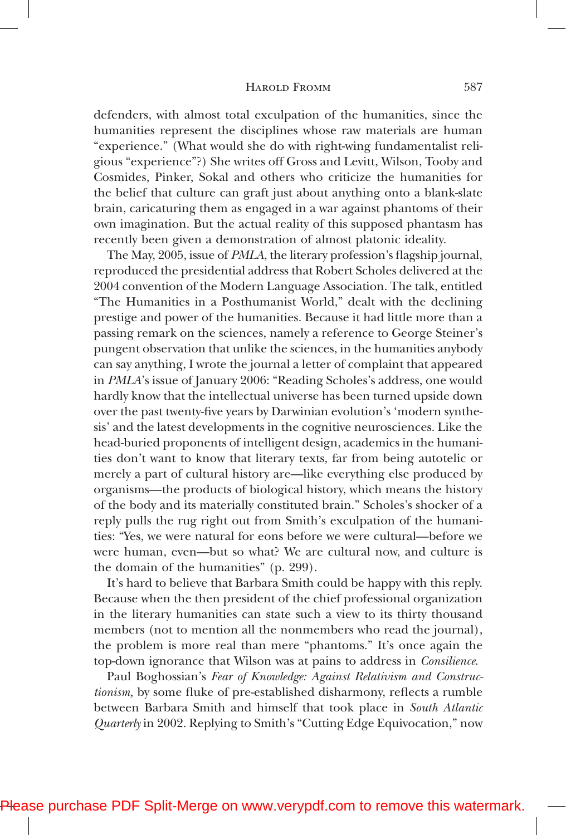defenders, with almost total exculpation of the humanities, since the humanities represent the disciplines whose raw materials are human "experience." (What would she do with right-wing fundamentalist religious "experience"?) She writes off Gross and Levitt, Wilson, Tooby and Cosmides, Pinker, Sokal and others who criticize the humanities for the belief that culture can graft just about anything onto a blank-slate brain, caricaturing them as engaged in a war against phantoms of their own imagination. But the actual reality of this supposed phantasm has recently been given a demonstration of almost platonic ideality.

The May, 2005, issue of *PMLA*, the literary profession's flagship journal, reproduced the presidential address that Robert Scholes delivered at the 2004 convention of the Modern Language Association. The talk, entitled "The Humanities in a Posthumanist World," dealt with the declining prestige and power of the humanities. Because it had little more than a passing remark on the sciences, namely a reference to George Steiner's pungent observation that unlike the sciences, in the humanities anybody can say anything, I wrote the journal a letter of complaint that appeared in *PMLA*'s issue of January 2006: "Reading Scholes's address, one would hardly know that the intellectual universe has been turned upside down over the past twenty-five years by Darwinian evolution's 'modern synthesis' and the latest developments in the cognitive neurosciences. Like the head-buried proponents of intelligent design, academics in the humanities don't want to know that literary texts, far from being autotelic or merely a part of cultural history are—like everything else produced by organisms—the products of biological history, which means the history of the body and its materially constituted brain." Scholes's shocker of a reply pulls the rug right out from Smith's exculpation of the humanities: "Yes, we were natural for eons before we were cultural—before we were human, even—but so what? We are cultural now, and culture is the domain of the humanities" (p. 299).

It's hard to believe that Barbara Smith could be happy with this reply. Because when the then president of the chief professional organization in the literary humanities can state such a view to its thirty thousand members (not to mention all the nonmembers who read the journal), the problem is more real than mere "phantoms." It's once again the top-down ignorance that Wilson was at pains to address in *Consilience*.

Paul Boghossian's *Fear of Knowledge: Against Relativism and Constructionism,* by some fluke of pre-established disharmony, reflects a rumble between Barbara Smith and himself that took place in *South Atlantic Quarterly* in 2002. Replying to Smith's "Cutting Edge Equivocation," now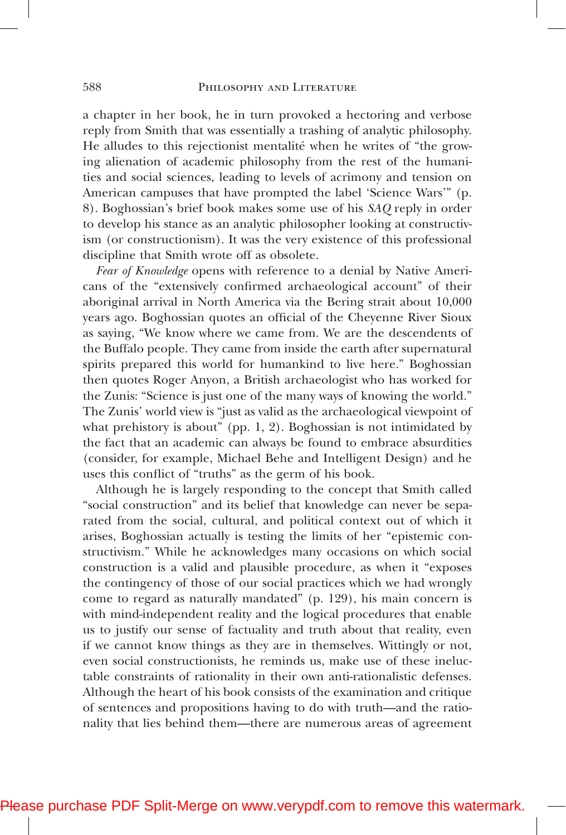a chapter in her book, he in turn provoked a hectoring and verbose reply from Smith that was essentially a trashing of analytic philosophy. He alludes to this rejectionist mentalité when he writes of "the growing alienation of academic philosophy from the rest of the humanities and social sciences, leading to levels of acrimony and tension on American campuses that have prompted the label 'Science Wars'" (p. 8). Boghossian's brief book makes some use of his *SAQ* reply in order to develop his stance as an analytic philosopher looking at constructivism (or constructionism). It was the very existence of this professional discipline that Smith wrote off as obsolete.

*Fear of Knowledge* opens with reference to a denial by Native Americans of the "extensively confirmed archaeological account" of their aboriginal arrival in North America via the Bering strait about 10,000 years ago. Boghossian quotes an official of the Cheyenne River Sioux as saying, "We know where we came from. We are the descendents of the Buffalo people. They came from inside the earth after supernatural spirits prepared this world for humankind to live here." Boghossian then quotes Roger Anyon, a British archaeologist who has worked for the Zunis: "Science is just one of the many ways of knowing the world." The Zunis' world view is "just as valid as the archaeological viewpoint of what prehistory is about" (pp. 1, 2). Boghossian is not intimidated by the fact that an academic can always be found to embrace absurdities (consider, for example, Michael Behe and Intelligent Design) and he uses this conflict of "truths" as the germ of his book.

Although he is largely responding to the concept that Smith called "social construction" and its belief that knowledge can never be separated from the social, cultural, and political context out of which it arises, Boghossian actually is testing the limits of her "epistemic constructivism." While he acknowledges many occasions on which social construction is a valid and plausible procedure, as when it "exposes the contingency of those of our social practices which we had wrongly come to regard as naturally mandated" (p. 129), his main concern is with mind-independent reality and the logical procedures that enable us to justify our sense of factuality and truth about that reality, even if we cannot know things as they are in themselves. Wittingly or not, even social constructionists, he reminds us, make use of these ineluctable constraints of rationality in their own anti-rationalistic defenses. Although the heart of his book consists of the examination and critique of sentences and propositions having to do with truth—and the rationality that lies behind them—there are numerous areas of agreement